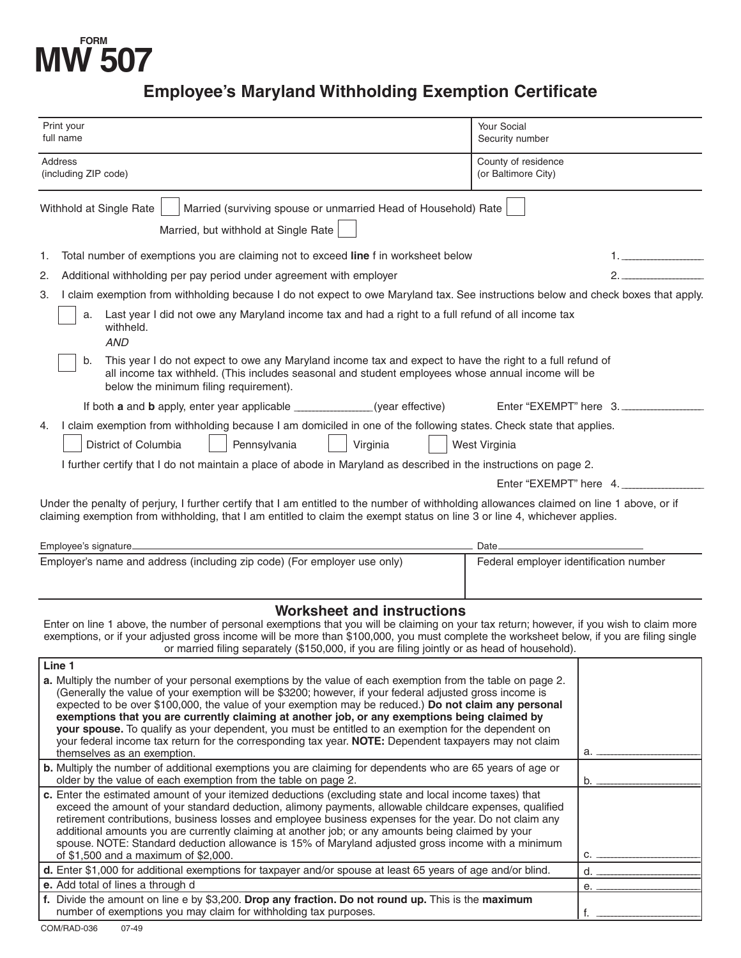# **FORM MW 507**

## **Employee's Maryland Withholding Exemption Certificate**

| Print your<br>full name                                                                                                                                                                                                                                                                                                                                                                                                                                                                                                                                                                                                                                                                      | Your Social<br>Security number             |    |
|----------------------------------------------------------------------------------------------------------------------------------------------------------------------------------------------------------------------------------------------------------------------------------------------------------------------------------------------------------------------------------------------------------------------------------------------------------------------------------------------------------------------------------------------------------------------------------------------------------------------------------------------------------------------------------------------|--------------------------------------------|----|
| Address<br>(including ZIP code)                                                                                                                                                                                                                                                                                                                                                                                                                                                                                                                                                                                                                                                              | County of residence<br>(or Baltimore City) |    |
| Married (surviving spouse or unmarried Head of Household) Rate<br>Withhold at Single Rate<br>Married, but withhold at Single Rate                                                                                                                                                                                                                                                                                                                                                                                                                                                                                                                                                            |                                            |    |
| Total number of exemptions you are claiming not to exceed line f in worksheet below<br>1.                                                                                                                                                                                                                                                                                                                                                                                                                                                                                                                                                                                                    |                                            |    |
| Additional withholding per pay period under agreement with employer<br>2.                                                                                                                                                                                                                                                                                                                                                                                                                                                                                                                                                                                                                    |                                            |    |
| I claim exemption from withholding because I do not expect to owe Maryland tax. See instructions below and check boxes that apply.<br>3.                                                                                                                                                                                                                                                                                                                                                                                                                                                                                                                                                     |                                            |    |
| Last year I did not owe any Maryland income tax and had a right to a full refund of all income tax<br>a.<br>withheld.<br><b>AND</b>                                                                                                                                                                                                                                                                                                                                                                                                                                                                                                                                                          |                                            |    |
| This year I do not expect to owe any Maryland income tax and expect to have the right to a full refund of<br>b.<br>all income tax withheld. (This includes seasonal and student employees whose annual income will be<br>below the minimum filing requirement).                                                                                                                                                                                                                                                                                                                                                                                                                              |                                            |    |
| If both <b>a</b> and <b>b</b> apply, enter year applicable _____________(year effective)                                                                                                                                                                                                                                                                                                                                                                                                                                                                                                                                                                                                     | Enter "EXEMPT" here 3.                     |    |
| I claim exemption from withholding because I am domiciled in one of the following states. Check state that applies.<br>4.                                                                                                                                                                                                                                                                                                                                                                                                                                                                                                                                                                    |                                            |    |
| District of Columbia<br>Pennsylvania<br>Virginia                                                                                                                                                                                                                                                                                                                                                                                                                                                                                                                                                                                                                                             | West Virginia                              |    |
| I further certify that I do not maintain a place of abode in Maryland as described in the instructions on page 2.                                                                                                                                                                                                                                                                                                                                                                                                                                                                                                                                                                            |                                            |    |
| Enter "EXEMPT" here 4.                                                                                                                                                                                                                                                                                                                                                                                                                                                                                                                                                                                                                                                                       |                                            |    |
| Under the penalty of perjury, I further certify that I am entitled to the number of withholding allowances claimed on line 1 above, or if<br>claiming exemption from withholding, that I am entitled to claim the exempt status on line 3 or line 4, whichever applies.                                                                                                                                                                                                                                                                                                                                                                                                                      |                                            |    |
| Employee's signature<br>Date.                                                                                                                                                                                                                                                                                                                                                                                                                                                                                                                                                                                                                                                                |                                            |    |
| Employer's name and address (including zip code) (For employer use only)                                                                                                                                                                                                                                                                                                                                                                                                                                                                                                                                                                                                                     | Federal employer identification number     |    |
| <b>Worksheet and instructions</b><br>Enter on line 1 above, the number of personal exemptions that you will be claiming on your tax return; however, if you wish to claim more<br>exemptions, or if your adjusted gross income will be more than \$100,000, you must complete the worksheet below, if you are filing single<br>or married filing separately (\$150,000, if you are filing jointly or as head of household).                                                                                                                                                                                                                                                                  |                                            |    |
| Line 1<br>a. Multiply the number of your personal exemptions by the value of each exemption from the table on page 2.<br>(Generally the value of your exemption will be \$3200; however, if your federal adjusted gross income is<br>expected to be over \$100,000, the value of your exemption may be reduced.) Do not claim any personal<br>exemptions that you are currently claiming at another job, or any exemptions being claimed by<br>your spouse. To qualify as your dependent, you must be entitled to an exemption for the dependent on<br>your federal income tax return for the corresponding tax year. NOTE: Dependent taxpayers may not claim<br>themselves as an exemption. |                                            | a. |
| b. Multiply the number of additional exemptions you are claiming for dependents who are 65 years of age or<br>older by the value of each exemption from the table on page 2.                                                                                                                                                                                                                                                                                                                                                                                                                                                                                                                 |                                            | b. |
| c. Enter the estimated amount of your itemized deductions (excluding state and local income taxes) that<br>exceed the amount of your standard deduction, alimony payments, allowable childcare expenses, qualified<br>retirement contributions, business losses and employee business expenses for the year. Do not claim any<br>additional amounts you are currently claiming at another job; or any amounts being claimed by your<br>spouse. NOTE: Standard deduction allowance is 15% of Maryland adjusted gross income with a minimum<br>of \$1,500 and a maximum of \$2,000.                                                                                                            |                                            | c. |
| d. Enter \$1,000 for additional exemptions for taxpayer and/or spouse at least 65 years of age and/or blind.                                                                                                                                                                                                                                                                                                                                                                                                                                                                                                                                                                                 |                                            | d. |
| e. Add total of lines a through d<br>f. Divide the amount on line e by \$3,200. Drop any fraction. Do not round up. This is the maximum                                                                                                                                                                                                                                                                                                                                                                                                                                                                                                                                                      |                                            | e. |
| number of exemptions you may claim for withholding tax purposes.                                                                                                                                                                                                                                                                                                                                                                                                                                                                                                                                                                                                                             |                                            | f. |